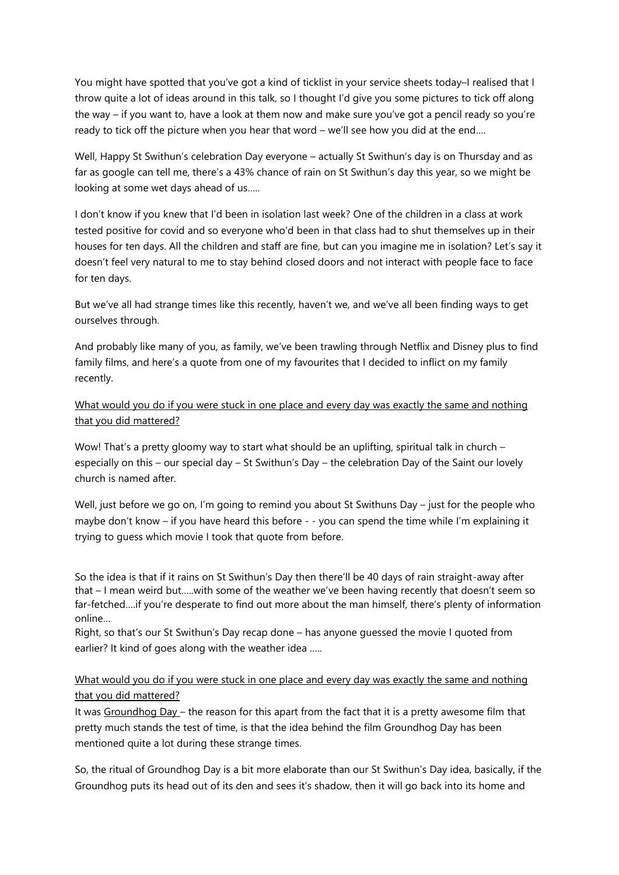You might have spotted that you've got a kind of ticklist in your service sheets today–I realised that I throw quite a lot of ideas around in this talk, so I thought I'd give you some pictures to tick off along the way – if you want to, have a look at them now and make sure you've got a pencil ready so you're ready to tick off the picture when you hear that word – we'll see how you did at the end….

Well, Happy St Swithun's celebration Day everyone – actually St Swithun's day is on Thursday and as far as google can tell me, there's a 43% chance of rain on St Swithun's day this year, so we might be looking at some wet days ahead of us…..

I don't know if you knew that I'd been in isolation last week? One of the children in a class at work tested positive for covid and so everyone who'd been in that class had to shut themselves up in their houses for ten days. All the children and staff are fine, but can you imagine me in isolation? Let's say it doesn't feel very natural to me to stay behind closed doors and not interact with people face to face for ten days.

But we've all had strange times like this recently, haven't we, and we've all been finding ways to get ourselves through.

And probably like many of you, as family, we've been trawling through Netflix and Disney plus to find family films, and here's a quote from one of my favourites that I decided to inflict on my family recently.

What would you do if you were stuck in one place and every day was exactly the same and nothing that you did mattered?

Wow! That's a pretty gloomy way to start what should be an uplifting, spiritual talk in church – especially on this – our special day – St Swithun's Day – the celebration Day of the Saint our lovely church is named after.

Well, just before we go on, I'm going to remind you about St Swithuns Day – just for the people who maybe don't know – if you have heard this before - - you can spend the time while I'm explaining it trying to guess which movie I took that quote from before.

So the idea is that if it rains on St Swithun's Day then there'll be 40 days of rain straight-away after that – I mean weird but…..with some of the weather we've been having recently that doesn't seem so far-fetched….if you're desperate to find out more about the man himself, there's plenty of information online…

Right, so that's our St Swithun's Day recap done – has anyone guessed the movie I quoted from earlier? It kind of goes along with the weather idea .....

## What would you do if you were stuck in one place and every day was exactly the same and nothing that you did mattered?

It was Groundhog Day – the reason for this apart from the fact that it is a pretty awesome film that pretty much stands the test of time, is that the idea behind the film Groundhog Day has been mentioned quite a lot during these strange times.

So, the ritual of Groundhog Day is a bit more elaborate than our St Swithun's Day idea, basically, if the Groundhog puts its head out of its den and sees it's shadow, then it will go back into its home and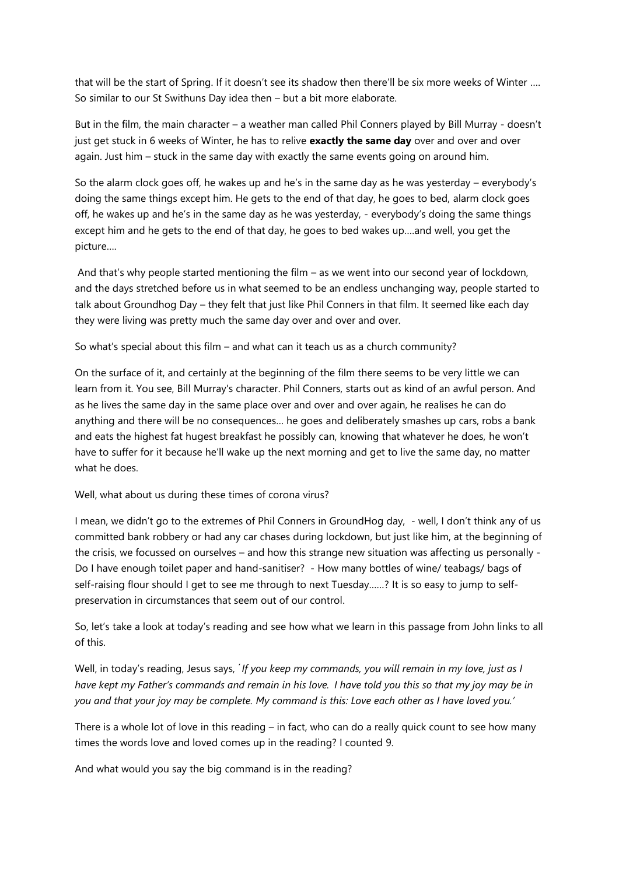that will be the start of Spring. If it doesn't see its shadow then there'll be six more weeks of Winter …. So similar to our St Swithuns Day idea then – but a bit more elaborate.

But in the film, the main character – a weather man called Phil Conners played by Bill Murray - doesn't just get stuck in 6 weeks of Winter, he has to relive **exactly the same day** over and over and over again. Just him – stuck in the same day with exactly the same events going on around him.

So the alarm clock goes off, he wakes up and he's in the same day as he was yesterday – everybody's doing the same things except him. He gets to the end of that day, he goes to bed, alarm clock goes off, he wakes up and he's in the same day as he was yesterday, - everybody's doing the same things except him and he gets to the end of that day, he goes to bed wakes up….and well, you get the picture….

And that's why people started mentioning the film – as we went into our second year of lockdown, and the days stretched before us in what seemed to be an endless unchanging way, people started to talk about Groundhog Day – they felt that just like Phil Conners in that film. It seemed like each day they were living was pretty much the same day over and over and over.

So what's special about this film – and what can it teach us as a church community?

On the surface of it, and certainly at the beginning of the film there seems to be very little we can learn from it. You see, Bill Murray's character. Phil Conners, starts out as kind of an awful person. And as he lives the same day in the same place over and over and over again, he realises he can do anything and there will be no consequences… he goes and deliberately smashes up cars, robs a bank and eats the highest fat hugest breakfast he possibly can, knowing that whatever he does, he won't have to suffer for it because he'll wake up the next morning and get to live the same day, no matter what he does.

Well, what about us during these times of corona virus?

I mean, we didn't go to the extremes of Phil Conners in GroundHog day, - well, I don't think any of us committed bank robbery or had any car chases during lockdown, but just like him, at the beginning of the crisis, we focussed on ourselves – and how this strange new situation was affecting us personally - Do I have enough toilet paper and hand-sanitiser? - How many bottles of wine/ teabags/ bags of self-raising flour should I get to see me through to next Tuesday......? It is so easy to jump to selfpreservation in circumstances that seem out of our control.

So, let's take a look at today's reading and see how what we learn in this passage from John links to all of this.

Well, in today's reading, Jesus says, *' If you keep my commands, you will remain in my love, just as I have kept my Father's commands and remain in his love. I have told you this so that my joy may be in you and that your joy may be complete. My command is this: Love each other as I have loved you.'*

There is a whole lot of love in this reading – in fact, who can do a really quick count to see how many times the words love and loved comes up in the reading? I counted 9.

And what would you say the big command is in the reading?